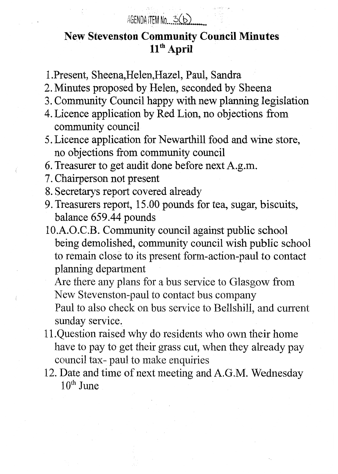## AGENDA ITEM No  $3(b)$

## **New Stevenston Community Council Minutes**   $11<sup>th</sup>$  April

-.

- 1 .Present, Sheena,Helen,Hazel, Paul, Sandra
- 2. Minutes proposed by Helen, seconded by Sheena
- 3. Community Council happy with new planning legislation
- 4. Licence application by Red Lion, no objections from community council
- 5. Licence application for Newarthill food and wine store, no objections from community council
- 6. Treasurer to get audit done before next A.g.m.
- 7. Chairperson not present
- 8. Secretarys report covered already
- 9. Treasurers report, 15 .OO pounds for tea, sugar, biscuits, balance 659.44 pounds
- 10.A.O.C.B. Community council against public school being demolished, community council wish public school to remain close to its present form-action-Paul to contact planning department

Are there any plans for a bus sewice to Glasgow from New Stevenston-paul to contact bus company

Paul to also check on bus service to Bellshill, and current sunday service.

- have to pay to get their grass cut, when they already pay council tax- paul to make enquiries 11 .Question raised why do residents who own their home
- 12. Date and time of next meeting and A.G.M. Wednesday 10<sup>th</sup> June